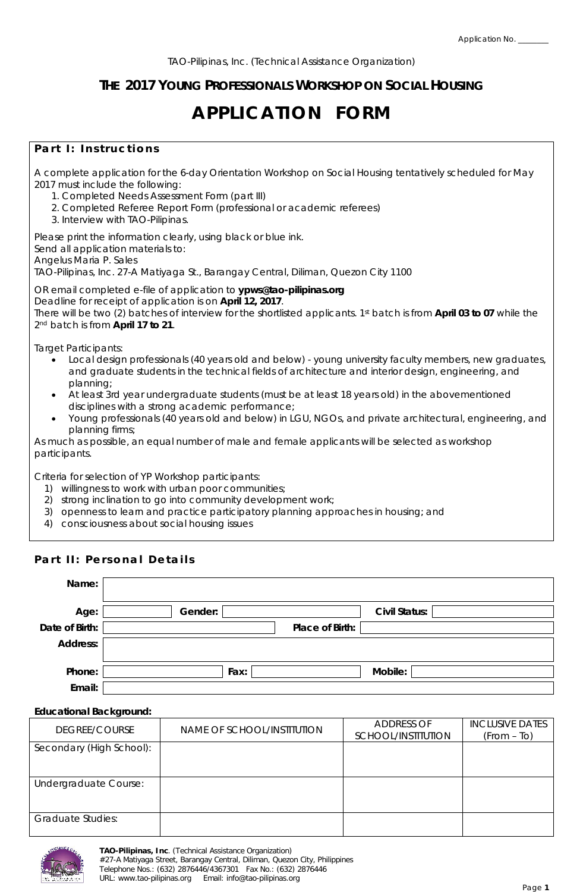## **THE 2017 YOUNG PROFESSIONALS WORKSHOP ON SOCIAL HOUSING**

# **APPLICATION FORM**

## **Part I: Instructions**

A complete application for the 6-day Orientation Workshop on Social Housing tentatively scheduled for May 2017 must include the following:

- 1. Completed Needs Assessment Form (part III)
- 2. Completed Referee Report Form (professional or academic referees)
- 3. Interview with TAO-Pilipinas.

Please print the information clearly, using black or blue ink. Send all application materials to: Angelus Maria P. Sales

TAO-Pilipinas, Inc. 27-A Matiyaga St., Barangay Central, Diliman, Quezon City 1100

OR email completed e-file of application to **ypws@tao-pilipinas.org** Deadline for receipt of application is on **April 12, 2017**. There will be two (2) batches of interview for the shortlisted applicants. 1st batch is from **April 03 to 07** while the 2nd batch is from **April 17 to 21**.

*Target Participants:*

- Local design professionals (40 years old and below) young university faculty members, new graduates, and graduate students in the technical fields of architecture and interior design, engineering, and planning;
- At least 3rd year undergraduate students (must be at least 18 years old) in the abovementioned disciplines with a strong academic performance;
- Young professionals (40 years old and below) in LGU, NGOs, and private architectural, engineering, and planning firms;

As much as possible, an equal number of male and female applicants will be selected as workshop participants.

*Criteria for selection of YP Workshop participants:*

- 1) willingness to work with urban poor communities;
- 2) strong inclination to go into community development work;
- 3) openness to learn and practice participatory planning approaches in housing; and
- 4) consciousness about social housing issues

## **Part II: Personal Details**

| Name:          |                 |                      |
|----------------|-----------------|----------------------|
| Age:           | Gender:         | <b>Civil Status:</b> |
| Date of Birth: | Place of Birth: |                      |
| Address:       |                 |                      |
|                |                 |                      |
| Phone:         | Fax:            | Mobile:              |
| Email:         |                 |                      |

#### **Educational Background:**

| DEGREE/COURSE            | NAME OF SCHOOL/INSTITUTION | ADDRESS OF<br>SCHOOL/INSTITUTION | <b>INCLUSIVE DATES</b><br>$(From - To)$ |
|--------------------------|----------------------------|----------------------------------|-----------------------------------------|
| Secondary (High School): |                            |                                  |                                         |
| Undergraduate Course:    |                            |                                  |                                         |
| <b>Graduate Studies:</b> |                            |                                  |                                         |

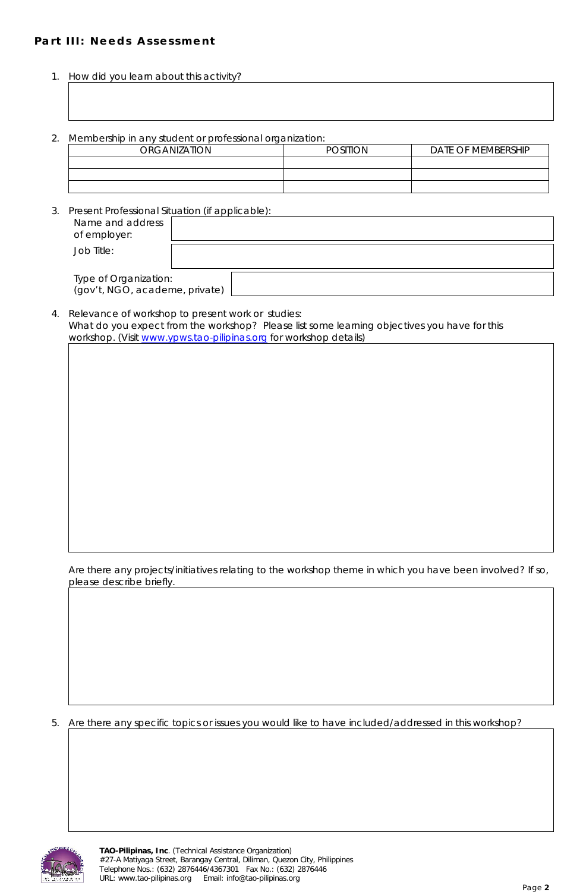## **Part III: Needs Assessment**

- 1. How did you learn about this activity?
- 2. Membership in any student or professional organization:

| <b>ORGANIZATION</b> | POSITION | DATE OF MEMBERSHIP |
|---------------------|----------|--------------------|
|                     |          |                    |
|                     |          |                    |
|                     |          |                    |

3. Present Professional Situation (if applicable):

| Name and address<br>of employer:                        |  |
|---------------------------------------------------------|--|
| Job Title:                                              |  |
| Type of Organization:<br>(gov't, NGO, academe, private) |  |

4. Relevance of workshop to present work or studies: What do you expect from the workshop? Please list some learning objectives you have for this workshop. (Visit [www.ypws.tao-pilipinas.org](http://www.ypws.tao-pilipinas.org/) for workshop details)

Are there any projects/initiatives relating to the workshop theme in which you have been involved? If so, please describe briefly.

5. Are there any specific topics or issues you would like to have included/addressed in this workshop?

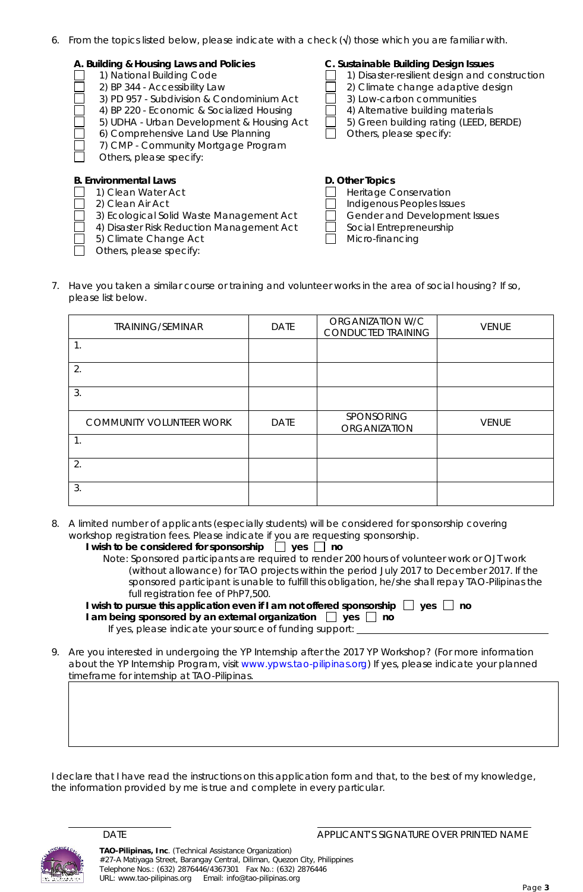6. From the topics listed below, please indicate with a check  $(\sqrt{)}$  those which you are familiar with.

| A. Building & Housing Laws and Policies<br>1) National Building Code<br>2) BP 344 - Accessibility Law<br>3) PD 957 - Subdivision & Condominium Act<br>4) BP 220 - Economic & Socialized Housing<br>5) UDHA - Urban Development & Housing Act<br>6) Comprehensive Land Use Planning<br>7) CMP - Community Mortgage Program<br>Others, please specify: | C. Sustainable Building Design Issues<br>1) Disaster-resilient design and construction<br>2) Climate change adaptive design<br>3) Low-carbon communities<br>4) Alternative building materials<br>5) Green building rating (LEED, BERDE)<br>Others, please specify: |
|------------------------------------------------------------------------------------------------------------------------------------------------------------------------------------------------------------------------------------------------------------------------------------------------------------------------------------------------------|--------------------------------------------------------------------------------------------------------------------------------------------------------------------------------------------------------------------------------------------------------------------|
| <b>B. Environmental Laws</b><br>1) Clean Water Act<br>2) Clean Air Act<br>3) Ecological Solid Waste Management Act<br>4) Disaster Risk Reduction Management Act<br>5) Climate Change Act<br>Others, please specify:                                                                                                                                  | D. Other Topics<br>Heritage Conservation<br>Indigenous Peoples Issues<br>Gender and Development Issues<br>Social Entrepreneurship<br>Micro-financing                                                                                                               |

7. Have you taken a similar course or training and volunteer works in the area of social housing? If so, please list below.

| <b>TRAINING/SEMINAR</b>         | <b>DATE</b> | ORGANIZATION W/C<br>CONDUCTED TRAINING | <b>VENUE</b> |
|---------------------------------|-------------|----------------------------------------|--------------|
| 1.                              |             |                                        |              |
| 2.                              |             |                                        |              |
| 3.                              |             |                                        |              |
| <b>COMMUNITY VOLUNTEER WORK</b> | <b>DATE</b> | SPONSORING<br><b>ORGANIZATION</b>      | <b>VENUE</b> |
| 1.                              |             |                                        |              |
| 2.                              |             |                                        |              |
| 3.                              |             |                                        |              |

8. A limited number of applicants (especially students) will be considered for sponsorship covering workshop registration fees. Please indicate if you are requesting sponsorship.

| I wish to be considered for sponsorship $\Box$ yes $\Box$ no |  |  |  |  |  |
|--------------------------------------------------------------|--|--|--|--|--|
|                                                              |  |  |  |  |  |

| Note: Sponsored participants are required to render 200 hours of volunteer work or OJT work      |
|--------------------------------------------------------------------------------------------------|
| (without allowance) for TAO projects within the period July 2017 to December 2017. If the        |
| sponsored participant is unable to fulfill this obligation, he/she shall repay TAO-Pilipinas the |
| full registration fee of PhP7,500.                                                               |

| I wish to pursue this application even if I am not offered sponsorship $\Box$ yes $\Box$ no |  |
|---------------------------------------------------------------------------------------------|--|
| I am being sponsored by an external organization $\Box$ yes $\Box$ no                       |  |
|                                                                                             |  |

If yes, please indicate your source of funding support:

9. Are you interested in undergoing the YP Internship after the 2017 YP Workshop? (For more information about the YP Internship Program, visit [www.ypws.tao-pilipinas.org\)](http://www.ypws.tao-pilipinas.org/) If yes, please indicate your planned timeframe for internship at TAO-Pilipinas.

I declare that I have read the instructions on this application form and that, to the best of my knowledge, the information provided by me is true and complete in every particular.

DATE **DATE APPLICANT'S SIGNATURE OVER PRINTED NAME** 

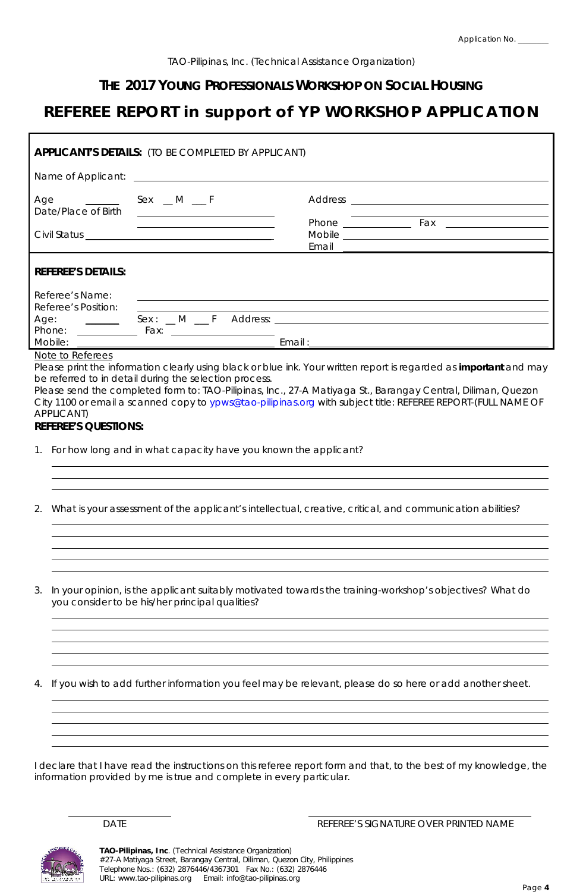## **THE 2017 YOUNG PROFESSIONALS WORKSHOP ON SOCIAL HOUSING**

## **REFEREE REPORT in support of YP WORKSHOP APPLICATION**

| <b>APPLICANT'S DETAILS:</b> (TO BE COMPLETED BY APPLICANT) |                                             |                                                                                                                                                                                                                                |               |  |
|------------------------------------------------------------|---------------------------------------------|--------------------------------------------------------------------------------------------------------------------------------------------------------------------------------------------------------------------------------|---------------|--|
|                                                            |                                             | Name of Applicant: Name of Applicant:                                                                                                                                                                                          |               |  |
| Age<br>Date/Place of Birth                                 |                                             |                                                                                                                                                                                                                                |               |  |
|                                                            | <u> 1980 - Jan Samuel Barbara, martin d</u> | Email                                                                                                                                                                                                                          | Phone Fax Fax |  |
| <b>REFEREE'S DETAILS:</b>                                  |                                             |                                                                                                                                                                                                                                |               |  |
| Referee's Name:<br>Referee's Position:                     |                                             |                                                                                                                                                                                                                                |               |  |
| Age:                                                       | $Sex: M \t F$<br>Phone: Fax:                | Address: and the contract of the contract of the contract of the contract of the contract of the contract of the contract of the contract of the contract of the contract of the contract of the contract of the contract of t |               |  |
| Mobile:                                                    |                                             | Email:                                                                                                                                                                                                                         |               |  |
| Note to Deferees                                           |                                             |                                                                                                                                                                                                                                |               |  |

#### <u>Note to Referees</u>

Please print the information clearly using black or blue ink. Your written report is regarded as **important** and may be referred to in detail during the selection process.

Please send the completed form to: TAO-Pilipinas, Inc., 27-A Matiyaga St., Barangay Central, Diliman, Quezon City 1100 or email a scanned copy to ypws@tao-pilipinas.org with subject title: REFEREE REPORT-(FULL NAME OF APPLICANT)

### **REFEREE'S QUESTIONS:**

- 1. For how long and in what capacity have you known the applicant?
- 2. What is your assessment of the applicant's intellectual, creative, critical, and communication abilities?
- 3. In your opinion, is the applicant suitably motivated towards the training-workshop's objectives? What do you consider to be his/her principal qualities?

4. If you wish to add further information you feel may be relevant, please do so here or add another sheet.

I declare that I have read the instructions on this referee report form and that, to the best of my knowledge, the information provided by me is true and complete in every particular.

DATE **Example 20 International Property SIGNATURE OVER PRINTED NAME**